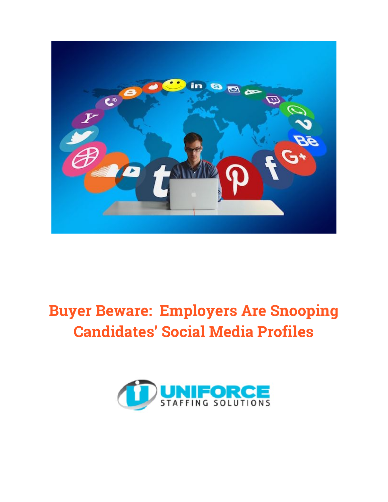

# **Buyer Beware: Employers Are Snooping Candidates' Social Media Profiles**

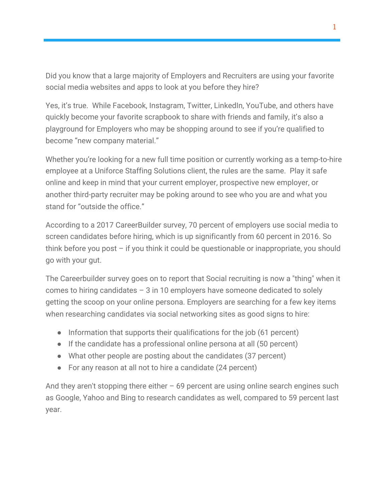Did you know that a large majority of Employers and Recruiters are using your favorite social media websites and apps to look at you before they hire?

Yes, it's true. While Facebook, Instagram, Twitter, LinkedIn, YouTube, and others have quickly become your favorite scrapbook to share with friends and family, it's also a playground for Employers who may be shopping around to see if you're qualified to become "new company material."

Whether you're looking for a new full time position or currently working as a temp-to-hire employee at a Uniforce Staffing Solutions client, the rules are the same. Play it safe online and keep in mind that your current employer, prospective new employer, or another third-party recruiter may be poking around to see who you are and what you stand for "outside the office."

According to a 2017 CareerBuilder survey, 70 percent of employers use social media to screen candidates before hiring, which is up significantly from 60 percent in 2016. So think before you post  $-$  if you think it could be questionable or inappropriate, you should go with your gut.

The Careerbuilder survey goes on to report that Social recruiting is now a "thing" when it comes to hiring candidates – 3 in 10 employers have someone dedicated to solely getting the scoop on your online persona. Employers are searching for a few key items when researching candidates via social networking sites as good signs to hire:

- Information that supports their qualifications for the job (61 percent)
- If the candidate has a professional online persona at all (50 percent)
- What other people are posting about the candidates (37 percent)
- For any reason at all not to hire a candidate (24 percent)

And they aren't stopping there either  $-69$  percent are using online search engines such as Google, Yahoo and Bing to research candidates as well, compared to 59 percent last year.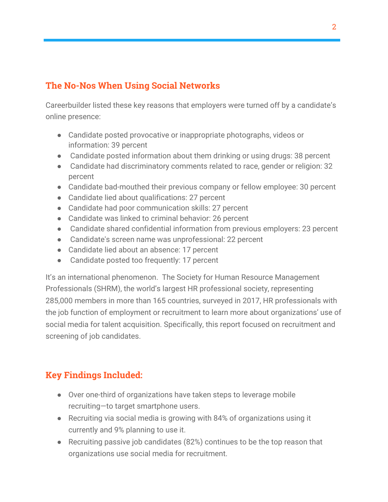### **The No-Nos When Using Social Networks**

Careerbuilder listed these key reasons that employers were turned off by a candidate's online presence:

- Candidate posted provocative or inappropriate photographs, videos or information: 39 percent
- Candidate posted information about them drinking or using drugs: 38 percent
- Candidate had discriminatory comments related to race, gender or religion: 32 percent
- Candidate bad-mouthed their previous company or fellow employee: 30 percent
- Candidate lied about qualifications: 27 percent
- Candidate had poor communication skills: 27 percent
- Candidate was linked to criminal behavior: 26 percent
- Candidate shared confidential information from previous employers: 23 percent
- Candidate's screen name was unprofessional: 22 percent
- Candidate lied about an absence: 17 percent
- Candidate posted too frequently: 17 percent

It's an international phenomenon. The Society for Human Resource Management Professionals (SHRM), the world's largest HR professional society, representing 285,000 members in more than 165 countries, surveyed in 2017, HR professionals with the job function of employment or recruitment to learn more about organizations' use of social media for talent acquisition. Specifically, this report focused on recruitment and screening of job candidates.

#### **Key Findings Included:**

- Over one-third of organizations have taken steps to leverage mobile recruiting—to target smartphone users.
- Recruiting via social media is growing with 84% of organizations using it currently and 9% planning to use it.
- Recruiting passive job candidates (82%) continues to be the top reason that organizations use social media for recruitment.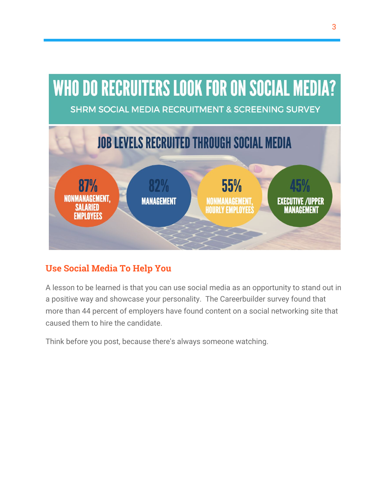# **WHO DO RECRUITERS LOOK FOR ON SOCIAL MEDIA?**

**SHRM SOCIAL MEDIA RECRUITMENT & SCREENING SURVEY** 



## **Use Social Media To Help You**

A lesson to be learned is that you can use social media as an opportunity to stand out in a positive way and showcase your personality. The Careerbuilder survey found that more than 44 percent of employers have found content on a social networking site that caused them to hire the candidate.

Think before you post, because there's always someone watching.